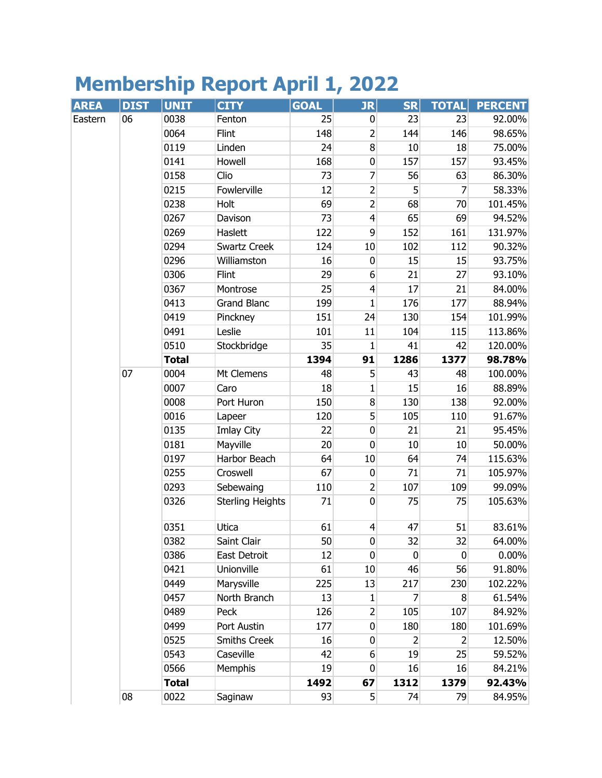## **Membership Report April 1, 2022**

| <b>AREA</b> | <b>DIST</b> | <b>UNIT</b>  | <b>CITY</b>             | <b>GOAL</b> | JR                      | <b>SR</b>   | <b>TOTAL</b> | <b>PERCENT</b> |
|-------------|-------------|--------------|-------------------------|-------------|-------------------------|-------------|--------------|----------------|
| Eastern     | 06          | 0038         | Fenton                  | 25          | $\bf{0}$                | 23          | 23           | 92.00%         |
|             |             | 0064         | Flint                   | 148         | $\overline{2}$          | 144         | 146          | 98.65%         |
|             |             | 0119         | Linden                  | 24          | 8 <sup>1</sup>          | 10          | 18           | 75.00%         |
|             |             | 0141         | Howell                  | 168         | $\pmb{0}$               | 157         | 157          | 93.45%         |
|             |             | 0158         | Clio                    | 73          | 7                       | 56          | 63           | 86.30%         |
|             |             | 0215         | Fowlerville             | 12          | $\overline{c}$          | 5           | 7            | 58.33%         |
|             |             | 0238         | Holt                    | 69          | $\overline{2}$          | 68          | 70           | 101.45%        |
|             |             | 0267         | Davison                 | 73          | $\overline{\mathbf{r}}$ | 65          | 69           | 94.52%         |
|             |             | 0269         | Haslett                 | 122         | 9                       | 152         | 161          | 131.97%        |
|             |             | 0294         | Swartz Creek            | 124         | 10                      | 102         | 112          | 90.32%         |
|             |             | 0296         | Williamston             | 16          | $\mathbf 0$             | 15          | 15           | 93.75%         |
|             |             | 0306         | Flint                   | 29          | 6                       | 21          | 27           | 93.10%         |
|             |             | 0367         | Montrose                | 25          | $\overline{4}$          | 17          | 21           | 84.00%         |
|             |             | 0413         | <b>Grand Blanc</b>      | 199         | 1                       | 176         | 177          | 88.94%         |
|             |             | 0419         | Pinckney                | 151         | 24                      | 130         | 154          | 101.99%        |
|             |             | 0491         | Leslie                  | 101         | 11                      | 104         | 115          | 113.86%        |
|             |             | 0510         | Stockbridge             | 35          | 1                       | 41          | 42           | 120.00%        |
|             |             | <b>Total</b> |                         | 1394        | 91                      | 1286        | 1377         | 98.78%         |
|             | 07          | 0004         | Mt Clemens              | 48          | 5                       | 43          | 48           | 100.00%        |
|             |             | 0007         | Caro                    | 18          | 1                       | 15          | 16           | 88.89%         |
|             |             | 0008         | Port Huron              | 150         | $\bf 8$                 | 130         | 138          | 92.00%         |
|             |             | 0016         | Lapeer                  | 120         | 5                       | 105         | 110          | 91.67%         |
|             |             | 0135         | Imlay City              | 22          | $\pmb{0}$               | 21          | 21           | 95.45%         |
|             |             | 0181         | Mayville                | 20          | $\mathbf 0$             | 10          | 10           | 50.00%         |
|             |             | 0197         | Harbor Beach            | 64          | 10                      | 64          | 74           | 115.63%        |
|             |             | 0255         | Croswell                | 67          | $\pmb{0}$               | 71          | 71           | 105.97%        |
|             |             | 0293         | Sebewaing               | 110         | 2                       | 107         | 109          | 99.09%         |
|             |             | 0326         | <b>Sterling Heights</b> | 71          | $\mathbf 0$             | 75          | 75           | 105.63%        |
|             |             | 0351         | Utica                   | 61          | $\overline{4}$          | 47          | 51           | 83.61%         |
|             |             | 0382         | Saint Clair             | 50          | 0                       | 32          | 32           | 64.00%         |
|             |             | 0386         | East Detroit            | 12          | 0                       | $\mathbf 0$ | $\mathbf 0$  | 0.00%          |
|             |             | 0421         | Unionville              | 61          | 10                      | 46          | 56           | 91.80%         |
|             |             | 0449         | Marysville              | 225         | 13                      | 217         | 230          | 102.22%        |
|             |             | 0457         | North Branch            | 13          | 1                       | 7           | 8            | 61.54%         |
|             |             | 0489         | Peck                    | 126         | $\overline{2}$          | 105         | 107          | 84.92%         |
|             |             | 0499         | Port Austin             | 177         | $\overline{0}$          | 180         | 180          | 101.69%        |
|             |             | 0525         | <b>Smiths Creek</b>     | 16          | 0                       | 2           | 2            | 12.50%         |
|             |             | 0543         | Caseville               | 42          | 6                       | 19          | 25           | 59.52%         |
|             |             | 0566         | Memphis                 | 19          | 0                       | 16          | 16           | 84.21%         |
|             |             | <b>Total</b> |                         | 1492        | 67                      | 1312        | 1379         | 92.43%         |
|             | 08          | 0022         | Saginaw                 | 93          | 5 <sup>1</sup>          | 74          | 79           | 84.95%         |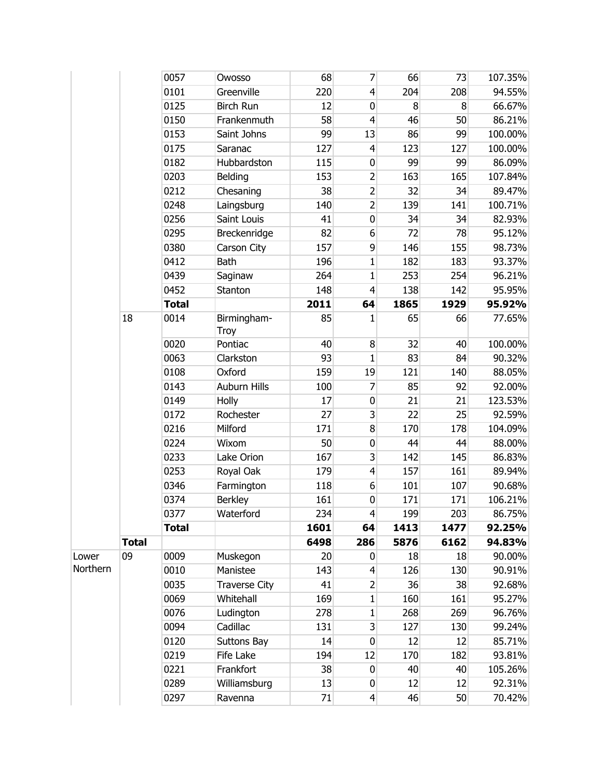|          |              | 0057         | Owosso               | 68   | 7              | 66          | 73   | 107.35% |
|----------|--------------|--------------|----------------------|------|----------------|-------------|------|---------|
|          |              | 0101         | Greenville           | 220  | $\overline{4}$ | 204         | 208  | 94.55%  |
|          |              | 0125         | <b>Birch Run</b>     | 12   | 0              | 8           | 8    | 66.67%  |
|          |              | 0150         | Frankenmuth          | 58   | $\overline{4}$ | 46          | 50   | 86.21%  |
|          |              | 0153         | Saint Johns          | 99   | 13             | 86          | 99   | 100.00% |
|          |              | 0175         | Saranac              | 127  | $\overline{4}$ | 123         | 127  | 100.00% |
|          |              | 0182         | Hubbardston          | 115  | $\bf{0}$       | 99          | 99   | 86.09%  |
|          |              | 0203         | <b>Belding</b>       | 153  | $\overline{2}$ | 163         | 165  | 107.84% |
|          |              | 0212         | Chesaning            | 38   | $\overline{2}$ | 32          | 34   | 89.47%  |
|          |              | 0248         | Laingsburg           | 140  | $\overline{2}$ | 139         | 141  | 100.71% |
|          |              | 0256         | Saint Louis          | 41   | $\bf{0}$       | 34          | 34   | 82.93%  |
|          |              | 0295         | Breckenridge         | 82   | 6              | 72          | 78   | 95.12%  |
|          |              | 0380         | Carson City          | 157  | 9              | 146         | 155  | 98.73%  |
|          |              | 0412         | <b>Bath</b>          | 196  | 1              | 182         | 183  | 93.37%  |
|          |              | 0439         | Saginaw              | 264  | $\mathbf{1}$   | 253         | 254  | 96.21%  |
|          |              | 0452         | Stanton              | 148  | $\overline{4}$ | 138         | 142  | 95.95%  |
|          |              | <b>Total</b> |                      | 2011 | 64             | 1865        | 1929 | 95.92%  |
|          | 18           | 0014         | Birmingham-<br>Troy  | 85   | 1              | 65          | 66   | 77.65%  |
|          |              | 0020         | Pontiac              | 40   | 8              | 32          | 40   | 100.00% |
|          |              | 0063         | Clarkston            | 93   | $\mathbf{1}$   | 83          | 84   | 90.32%  |
|          |              | 0108         | Oxford               | 159  | 19             | 121         | 140  | 88.05%  |
|          |              | 0143         | <b>Auburn Hills</b>  | 100  | 7              | 85          | 92   | 92.00%  |
|          |              | 0149         | Holly                | 17   | $\pmb{0}$      | 21          | 21   | 123.53% |
|          |              | 0172         | Rochester            | 27   | 3              | 22          | 25   | 92.59%  |
|          |              | 0216         | Milford              | 171  | 8              | 170         | 178  | 104.09% |
|          |              | 0224         | Wixom                | 50   | $\bf{0}$       | 44          | 44   | 88.00%  |
|          |              | 0233         | Lake Orion           | 167  | 3              | 142         | 145  | 86.83%  |
|          |              | 0253         | Royal Oak            | 179  | $\overline{4}$ | 157         | 161  | 89.94%  |
|          |              | 0346         | Farmington           | 118  | 6              | 101         | 107  | 90.68%  |
|          |              | 0374         | <b>Berkley</b>       | 161  | $\mathbf 0$    | 171         | 171  | 106.21% |
|          |              | 0377         | Waterford            | 234  | 4              | <u> 199</u> | 203  | 86.75%  |
|          |              | <b>Total</b> |                      | 1601 | 64             | 1413        | 1477 | 92.25%  |
|          | <b>Total</b> |              |                      | 6498 | 286            | 5876        | 6162 | 94.83%  |
| Lower    | 09           | 0009         | Muskegon             | 20   | 0              | 18          | 18   | 90.00%  |
| Northern |              | 0010         | Manistee             | 143  | $\overline{4}$ | 126         | 130  | 90.91%  |
|          |              | 0035         | <b>Traverse City</b> | 41   | $\overline{2}$ | 36          | 38   | 92.68%  |
|          |              | 0069         | Whitehall            | 169  | $\mathbf{1}$   | 160         | 161  | 95.27%  |
|          |              | 0076         | Ludington            | 278  | 1              | 268         | 269  | 96.76%  |
|          |              | 0094         | Cadillac             | 131  | 3              | 127         | 130  | 99.24%  |
|          |              | 0120         | Suttons Bay          | 14   | $\bf{0}$       | 12          | 12   | 85.71%  |
|          |              | 0219         | Fife Lake            | 194  | 12             | 170         | 182  | 93.81%  |
|          |              | 0221         | Frankfort            | 38   | $\mathbf 0$    | 40          | 40   | 105.26% |
|          |              | 0289         | Williamsburg         | 13   | 0              | 12          | 12   | 92.31%  |
|          |              | 0297         | Ravenna              | 71   | $\overline{4}$ | 46          | 50   | 70.42%  |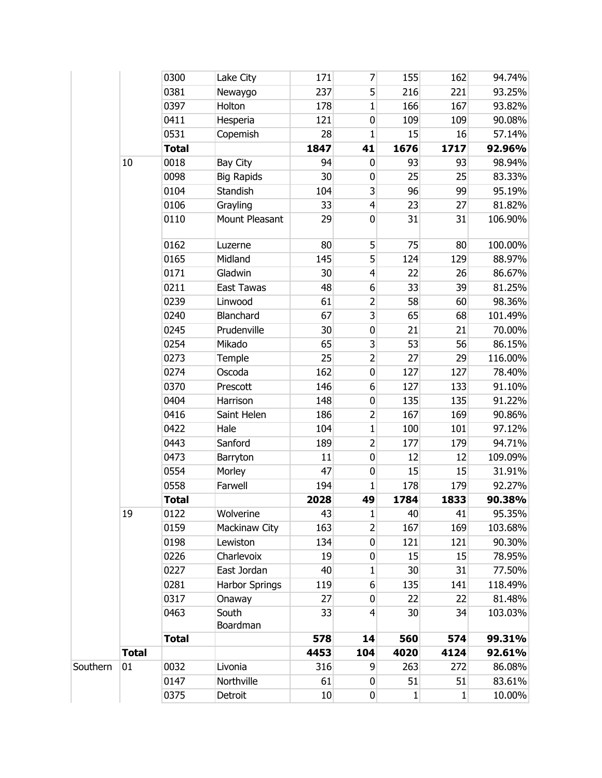|          |              | 0300         | Lake City             | 171  | 7              | 155  | 162  | 94.74%  |
|----------|--------------|--------------|-----------------------|------|----------------|------|------|---------|
|          |              | 0381         | Newaygo               | 237  | 5              | 216  | 221  | 93.25%  |
|          |              | 0397         | Holton                | 178  | 1              | 166  | 167  | 93.82%  |
|          |              | 0411         | Hesperia              | 121  | $\mathbf 0$    | 109  | 109  | 90.08%  |
|          |              | 0531         | Copemish              | 28   | $\mathbf{1}$   | 15   | 16   | 57.14%  |
|          |              | <b>Total</b> |                       | 1847 | 41             | 1676 | 1717 | 92.96%  |
|          | 10           | 0018         | Bay City              | 94   | $\mathbf 0$    | 93   | 93   | 98.94%  |
|          |              | 0098         | <b>Big Rapids</b>     | 30   | 0              | 25   | 25   | 83.33%  |
|          |              | 0104         | Standish              | 104  | 3              | 96   | 99   | 95.19%  |
|          |              | 0106         | Grayling              | 33   | $\overline{4}$ | 23   | 27   | 81.82%  |
|          |              | 0110         | Mount Pleasant        | 29   | $\mathbf 0$    | 31   | 31   | 106.90% |
|          |              | 0162         | Luzerne               | 80   | 5              | 75   | 80   | 100.00% |
|          |              | 0165         | Midland               | 145  | 5              | 124  | 129  | 88.97%  |
|          |              | 0171         | Gladwin               | 30   | $\overline{4}$ | 22   | 26   | 86.67%  |
|          |              | 0211         | <b>East Tawas</b>     | 48   | 6              | 33   | 39   | 81.25%  |
|          |              | 0239         | Linwood               | 61   | $\overline{2}$ | 58   | 60   | 98.36%  |
|          |              | 0240         | Blanchard             | 67   | 3              | 65   | 68   | 101.49% |
|          |              | 0245         | Prudenville           | 30   | $\pmb{0}$      | 21   | 21   | 70.00%  |
|          |              | 0254         | Mikado                | 65   | 3              | 53   | 56   | 86.15%  |
|          |              | 0273         | Temple                | 25   | $\overline{2}$ | 27   | 29   | 116.00% |
|          |              | 0274         | Oscoda                | 162  | $\mathbf 0$    | 127  | 127  | 78.40%  |
|          |              | 0370         | Prescott              | 146  | 6              | 127  | 133  | 91.10%  |
|          |              | 0404         | Harrison              | 148  | $\pmb{0}$      | 135  | 135  | 91.22%  |
|          |              | 0416         | Saint Helen           | 186  | $\overline{2}$ | 167  | 169  | 90.86%  |
|          |              | 0422         | Hale                  | 104  | $\mathbf{1}$   | 100  | 101  | 97.12%  |
|          |              | 0443         | Sanford               | 189  | $\overline{2}$ | 177  | 179  | 94.71%  |
|          |              | 0473         | Barryton              | 11   | $\bf{0}$       | 12   | 12   | 109.09% |
|          |              | 0554         | Morley                | 47   | $\bf{0}$       | 15   | 15   | 31.91%  |
|          |              | 0558         | Farwell               | 194  | 1              | 178  | 179  | 92.27%  |
|          |              | <b>Total</b> |                       | 2028 | 49             | 1784 | 1833 | 90.38%  |
|          | 19           | 0122         | Wolverine             | 43   | $\mathbf{1}$   | 40   | 41   | 95.35%  |
|          |              | 0159         | Mackinaw City         | 163  | $\overline{2}$ | 167  | 169  | 103.68% |
|          |              | 0198         | Lewiston              | 134  | $\bf{0}$       | 121  | 121  | 90.30%  |
|          |              | 0226         | Charlevoix            | 19   | 0              | 15   | 15   | 78.95%  |
|          |              | 0227         | East Jordan           | 40   | 1              | 30   | 31   | 77.50%  |
|          |              | 0281         | <b>Harbor Springs</b> | 119  | 6              | 135  | 141  | 118.49% |
|          |              | 0317         | Onaway                | 27   | 0              | 22   | 22   | 81.48%  |
|          |              | 0463         | South<br>Boardman     | 33   | $\overline{4}$ | 30   | 34   | 103.03% |
|          |              | <b>Total</b> |                       | 578  | 14             | 560  | 574  | 99.31%  |
|          | <b>Total</b> |              |                       | 4453 | 104            | 4020 | 4124 | 92.61%  |
| Southern | 01           | 0032         | Livonia               | 316  | 9              | 263  | 272  | 86.08%  |
|          |              | 0147         | Northville            | 61   | 0              | 51   | 51   | 83.61%  |
|          |              | 0375         | Detroit               | 10   | $\bf{0}$       | 1    | 1    | 10.00%  |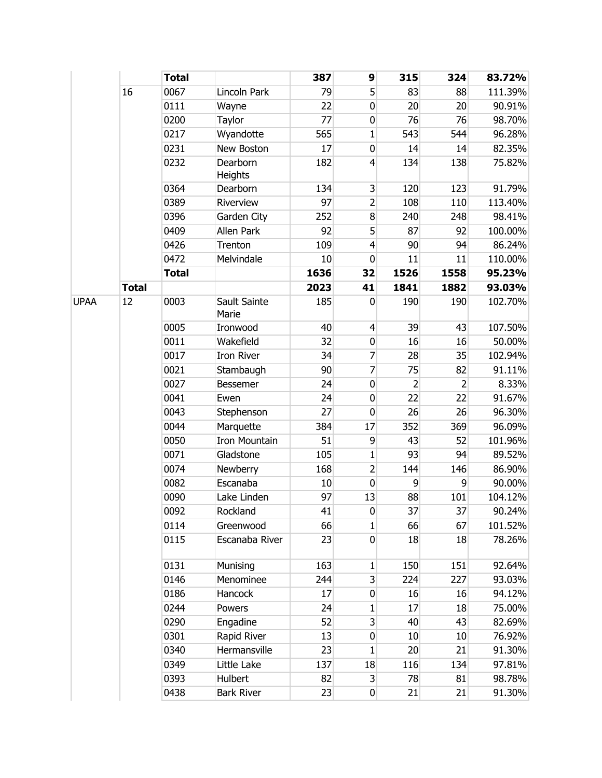|             |              | <b>Total</b> |                       | 387  | 9                | 315            | 324            | 83.72%  |
|-------------|--------------|--------------|-----------------------|------|------------------|----------------|----------------|---------|
|             | 16           | 0067         | Lincoln Park          | 79   | 5                | 83             | 88             | 111.39% |
|             |              | 0111         | Wayne                 | 22   | $\mathbf 0$      | 20             | 20             | 90.91%  |
|             |              | 0200         | Taylor                | 77   | $\mathbf 0$      | 76             | 76             | 98.70%  |
|             |              | 0217         | Wyandotte             | 565  | $\mathbf 1$      | 543            | 544            | 96.28%  |
|             |              | 0231         | New Boston            | 17   | $\mathbf 0$      | 14             | 14             | 82.35%  |
|             |              | 0232         | Dearborn<br>Heights   | 182  | $\overline{4}$   | 134            | 138            | 75.82%  |
|             |              | 0364         | Dearborn              | 134  | $\mathsf 3$      | 120            | 123            | 91.79%  |
|             |              | 0389         | Riverview             | 97   | $\overline{2}$   | 108            | 110            | 113.40% |
|             |              | 0396         | Garden City           | 252  | 8                | 240            | 248            | 98.41%  |
|             |              | 0409         | Allen Park            | 92   | 5                | 87             | 92             | 100.00% |
|             |              | 0426         | Trenton               | 109  | $\overline{4}$   | 90             | 94             | 86.24%  |
|             |              | 0472         | Melvindale            | 10   | $\bf{0}$         | 11             | 11             | 110.00% |
|             |              | <b>Total</b> |                       | 1636 | 32               | 1526           | 1558           | 95.23%  |
|             | <b>Total</b> |              |                       | 2023 | 41               | 1841           | 1882           | 93.03%  |
| <b>UPAA</b> | 12           | 0003         | Sault Sainte<br>Marie | 185  | 0                | 190            | 190            | 102.70% |
|             |              | 0005         | Ironwood              | 40   | $\overline{4}$   | 39             | 43             | 107.50% |
|             |              | 0011         | Wakefield             | 32   | $\bf{0}$         | 16             | 16             | 50.00%  |
|             |              | 0017         | <b>Iron River</b>     | 34   | 7                | 28             | 35             | 102.94% |
|             |              | 0021         | Stambaugh             | 90   | $\overline{7}$   | 75             | 82             | 91.11%  |
|             |              | 0027         | Bessemer              | 24   | $\mathbf 0$      | $\overline{2}$ | $\overline{2}$ | 8.33%   |
|             |              | 0041         | Ewen                  | 24   | $\mathbf 0$      | 22             | 22             | 91.67%  |
|             |              | 0043         | Stephenson            | 27   | $\mathbf 0$      | 26             | 26             | 96.30%  |
|             |              | 0044         | Marquette             | 384  | 17               | 352            | 369            | 96.09%  |
|             |              | 0050         | <b>Iron Mountain</b>  | 51   | 9                | 43             | 52             | 101.96% |
|             |              | 0071         | Gladstone             | 105  | 1                | 93             | 94             | 89.52%  |
|             |              | 0074         | Newberry              | 168  | $\overline{2}$   | 144            | 146            | 86.90%  |
|             |              | 0082         | Escanaba              | 10   | $\mathbf 0$      | 9              | 9              | 90.00%  |
|             |              | 0090         | Lake Linden           | 97   | 13               | 88             | 101            | 104.12% |
|             |              | 0092         | Rockland              | 41   | $\pmb{0}$        | 37             | 37             | 90.24%  |
|             |              | 0114         | Greenwood             | 66   | 1                | 66             | 67             | 101.52% |
|             |              | 0115         | Escanaba River        | 23   | $\overline{0}$   | 18             | 18             | 78.26%  |
|             |              | 0131         | Munising              | 163  | 1                | 150            | 151            | 92.64%  |
|             |              | 0146         | Menominee             | 244  | $\overline{3}$   | 224            | 227            | 93.03%  |
|             |              | 0186         | Hancock               | 17   | $\mathbf 0$      | 16             | 16             | 94.12%  |
|             |              | 0244         | Powers                | 24   | 1                | 17             | 18             | 75.00%  |
|             |              | 0290         | Engadine              | 52   | 3                | 40             | 43             | 82.69%  |
|             |              | 0301         | Rapid River           | 13   | $\bf{0}$         | 10             | 10             | 76.92%  |
|             |              | 0340         | Hermansville          | 23   | 1                | 20             | 21             | 91.30%  |
|             |              | 0349         | Little Lake           | 137  | 18               | 116            | 134            | 97.81%  |
|             |              | 0393         | Hulbert               | 82   | $\overline{3}$   | 78             | 81             | 98.78%  |
|             |              | 0438         | <b>Bark River</b>     | 23   | $\boldsymbol{0}$ | 21             | 21             | 91.30%  |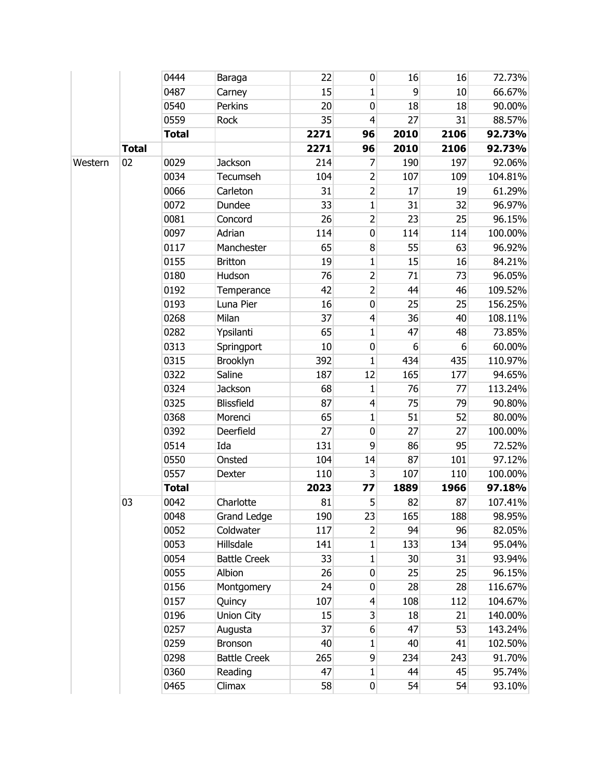|         |              | 0444         | Baraga              | 22   | $\mathbf 0$      | 16   | 16   | 72.73%  |
|---------|--------------|--------------|---------------------|------|------------------|------|------|---------|
|         |              | 0487         | Carney              | 15   | 1                | 9    | 10   | 66.67%  |
|         |              | 0540         | Perkins             | 20   | $\bf{0}$         | 18   | 18   | 90.00%  |
|         |              | 0559         | Rock                | 35   | $\overline{4}$   | 27   | 31   | 88.57%  |
|         |              | <b>Total</b> |                     | 2271 | 96               | 2010 | 2106 | 92.73%  |
|         | <b>Total</b> |              |                     | 2271 | 96               | 2010 | 2106 | 92.73%  |
| Western | 02           | 0029         | Jackson             | 214  | 7                | 190  | 197  | 92.06%  |
|         |              | 0034         | Tecumseh            | 104  | 2                | 107  | 109  | 104.81% |
|         |              | 0066         | Carleton            | 31   | $\overline{2}$   | 17   | 19   | 61.29%  |
|         |              | 0072         | Dundee              | 33   | $\mathbf{1}$     | 31   | 32   | 96.97%  |
|         |              | 0081         | Concord             | 26   | $\overline{2}$   | 23   | 25   | 96.15%  |
|         |              | 0097         | Adrian              | 114  | $\bf{0}$         | 114  | 114  | 100.00% |
|         |              | 0117         | Manchester          | 65   | $\bf 8$          | 55   | 63   | 96.92%  |
|         |              | 0155         | <b>Britton</b>      | 19   | 1                | 15   | 16   | 84.21%  |
|         |              | 0180         | Hudson              | 76   | $\overline{2}$   | 71   | 73   | 96.05%  |
|         |              | 0192         | Temperance          | 42   | $\overline{2}$   | 44   | 46   | 109.52% |
|         |              | 0193         | Luna Pier           | 16   | $\pmb{0}$        | 25   | 25   | 156.25% |
|         |              | 0268         | Milan               | 37   | $\overline{4}$   | 36   | 40   | 108.11% |
|         |              | 0282         | Ypsilanti           | 65   | 1                | 47   | 48   | 73.85%  |
|         |              | 0313         | Springport          | 10   | $\pmb{0}$        | 6    | 6    | 60.00%  |
|         |              | 0315         | Brooklyn            | 392  | 1                | 434  | 435  | 110.97% |
|         |              | 0322         | Saline              | 187  | 12               | 165  | 177  | 94.65%  |
|         |              | 0324         | Jackson             | 68   | 1                | 76   | 77   | 113.24% |
|         |              | 0325         | Blissfield          | 87   | $\overline{4}$   | 75   | 79   | 90.80%  |
|         |              | 0368         | Morenci             | 65   | $\mathbf{1}$     | 51   | 52   | 80.00%  |
|         |              | 0392         | Deerfield           | 27   | $\mathbf 0$      | 27   | 27   | 100.00% |
|         |              | 0514         | Ida                 | 131  | 9                | 86   | 95   | 72.52%  |
|         |              | 0550         | Onsted              | 104  | 14               | 87   | 101  | 97.12%  |
|         |              | 0557         | Dexter              | 110  | 3                | 107  | 110  | 100.00% |
|         |              | <b>Total</b> |                     | 2023 | 77               | 1889 | 1966 | 97.18%  |
|         | 03           | 0042         | Charlotte           | 81   | 5                | 82   | 87   | 107.41% |
|         |              | 0048         | <b>Grand Ledge</b>  | 190  | 23               | 165  | 188  | 98.95%  |
|         |              | 0052         | Coldwater           | 117  | 2                | 94   | 96   | 82.05%  |
|         |              | 0053         | Hillsdale           | 141  | $1\phantom{.0}$  | 133  | 134  | 95.04%  |
|         |              | 0054         | <b>Battle Creek</b> | 33   | 1                | 30   | 31   | 93.94%  |
|         |              | 0055         | Albion              | 26   | 0                | 25   | 25   | 96.15%  |
|         |              | 0156         | Montgomery          | 24   | $\boldsymbol{0}$ | 28   | 28   | 116.67% |
|         |              | 0157         | Quincy              | 107  | $\overline{4}$   | 108  | 112  | 104.67% |
|         |              | 0196         | Union City          | 15   | $\overline{3}$   | 18   | 21   | 140.00% |
|         |              | 0257         | Augusta             | 37   | $6 \overline{6}$ | 47   | 53   | 143.24% |
|         |              | 0259         | Bronson             | 40   | 1                | 40   | 41   | 102.50% |
|         |              | 0298         | <b>Battle Creek</b> | 265  | $\overline{9}$   | 234  | 243  | 91.70%  |
|         |              | 0360         | Reading             | 47   | 1                | 44   | 45   | 95.74%  |
|         |              | 0465         | Climax              | 58   | 0                | 54   | 54   | 93.10%  |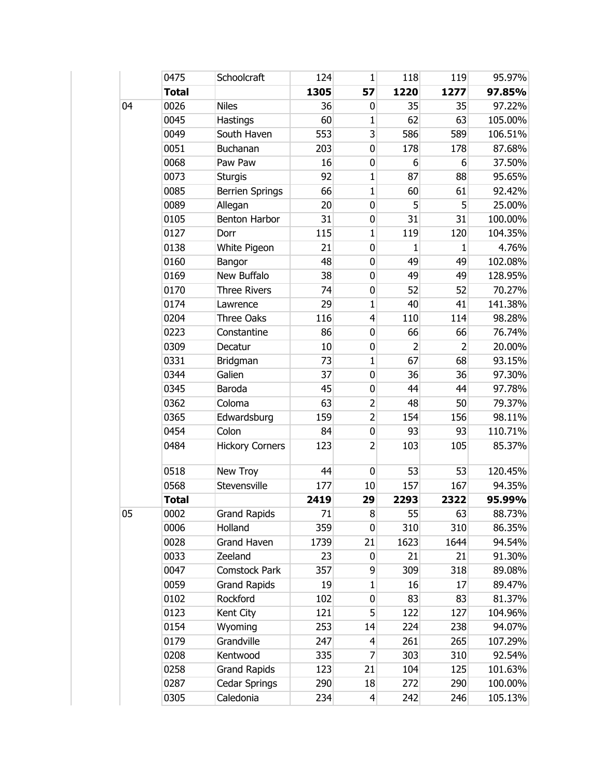|    | 0475         | Schoolcraft            | 124  | $\mathbf{1}$   | 118            | 119             | 95.97%  |
|----|--------------|------------------------|------|----------------|----------------|-----------------|---------|
|    | <b>Total</b> |                        | 1305 | 57             | 1220           | 1277            | 97.85%  |
| 04 | 0026         | <b>Niles</b>           | 36   | 0              | 35             | 35              | 97.22%  |
|    | 0045         | Hastings               | 60   | $\mathbf{1}$   | 62             | 63              | 105.00% |
|    | 0049         | South Haven            | 553  | 3              | 586            | 589             | 106.51% |
|    | 0051         | Buchanan               | 203  | 0              | 178            | 178             | 87.68%  |
|    | 0068         | Paw Paw                | 16   | 0              | 6              | 6               | 37.50%  |
|    | 0073         | <b>Sturgis</b>         | 92   | $\mathbf 1$    | 87             | 88              | 95.65%  |
|    | 0085         | <b>Berrien Springs</b> | 66   | $\mathbf{1}$   | 60             | 61              | 92.42%  |
|    | 0089         | Allegan                | 20   | $\mathbf 0$    | 5              | $5\overline{)}$ | 25.00%  |
|    | 0105         | <b>Benton Harbor</b>   | 31   | 0              | 31             | 31              | 100.00% |
|    | 0127         | Dorr                   | 115  | 1              | 119            | 120             | 104.35% |
|    | 0138         | White Pigeon           | 21   | $\pmb{0}$      | 1              | 1               | 4.76%   |
|    | 0160         | Bangor                 | 48   | 0              | 49             | 49              | 102.08% |
|    | 0169         | New Buffalo            | 38   | $\pmb{0}$      | 49             | 49              | 128.95% |
|    | 0170         | <b>Three Rivers</b>    | 74   | 0              | 52             | 52              | 70.27%  |
|    | 0174         | Lawrence               | 29   | 1              | 40             | 41              | 141.38% |
|    | 0204         | Three Oaks             | 116  | 4              | 110            | 114             | 98.28%  |
|    | 0223         | Constantine            | 86   | 0              | 66             | 66              | 76.74%  |
|    | 0309         | Decatur                | 10   | $\pmb{0}$      | $\overline{2}$ | $\overline{2}$  | 20.00%  |
|    | 0331         | Bridgman               | 73   | $\mathbf{1}$   | 67             | 68              | 93.15%  |
|    | 0344         | Galien                 | 37   | 0              | 36             | 36              | 97.30%  |
|    | 0345         | Baroda                 | 45   | 0              | 44             | 44              | 97.78%  |
|    | 0362         | Coloma                 | 63   | $\overline{2}$ | 48             | 50              | 79.37%  |
|    | 0365         | Edwardsburg            | 159  | $\overline{2}$ | 154            | 156             | 98.11%  |
|    | 0454         | Colon                  | 84   | 0              | 93             | 93              | 110.71% |
|    | 0484         | <b>Hickory Corners</b> | 123  | $\overline{2}$ | 103            | 105             | 85.37%  |
|    | 0518         | New Troy               | 44   | $\mathbf 0$    | 53             | 53              | 120.45% |
|    | 0568         | Stevensville           | 177  | 10             | 157            | 167             | 94.35%  |
|    | <b>Total</b> |                        | 2419 | 29             | 2293           | 2322            | 95.99%  |
| 05 | 0002         | <b>Grand Rapids</b>    | 71   | 8              | 55             | 63              | 88.73%  |
|    | 0006         | Holland                | 359  | $\mathbf 0$    | 310            | 310             | 86.35%  |
|    | 0028         | Grand Haven            | 1739 | 21             | 1623           | 1644            | 94.54%  |
|    | 0033         | Zeeland                | 23   | 0              | 21             | 21              | 91.30%  |
|    | 0047         | Comstock Park          | 357  | $\overline{9}$ | 309            | 318             | 89.08%  |
|    | 0059         | <b>Grand Rapids</b>    | 19   | 1              | 16             | 17              | 89.47%  |
|    | 0102         | Rockford               | 102  | 0              | 83             | 83              | 81.37%  |
|    | 0123         | Kent City              | 121  | 5              | 122            | 127             | 104.96% |
|    | 0154         | Wyoming                | 253  | 14             | 224            | 238             | 94.07%  |
|    | 0179         | Grandville             | 247  | 4              | 261            | 265             | 107.29% |
|    | 0208         | Kentwood               | 335  | 7              | 303            | 310             | 92.54%  |
|    | 0258         | <b>Grand Rapids</b>    | 123  | 21             | 104            | 125             | 101.63% |
|    | 0287         | Cedar Springs          | 290  | 18             | 272            | 290             | 100.00% |
|    | 0305         | Caledonia              | 234  | $\overline{4}$ | 242            | 246             | 105.13% |
|    |              |                        |      |                |                |                 |         |